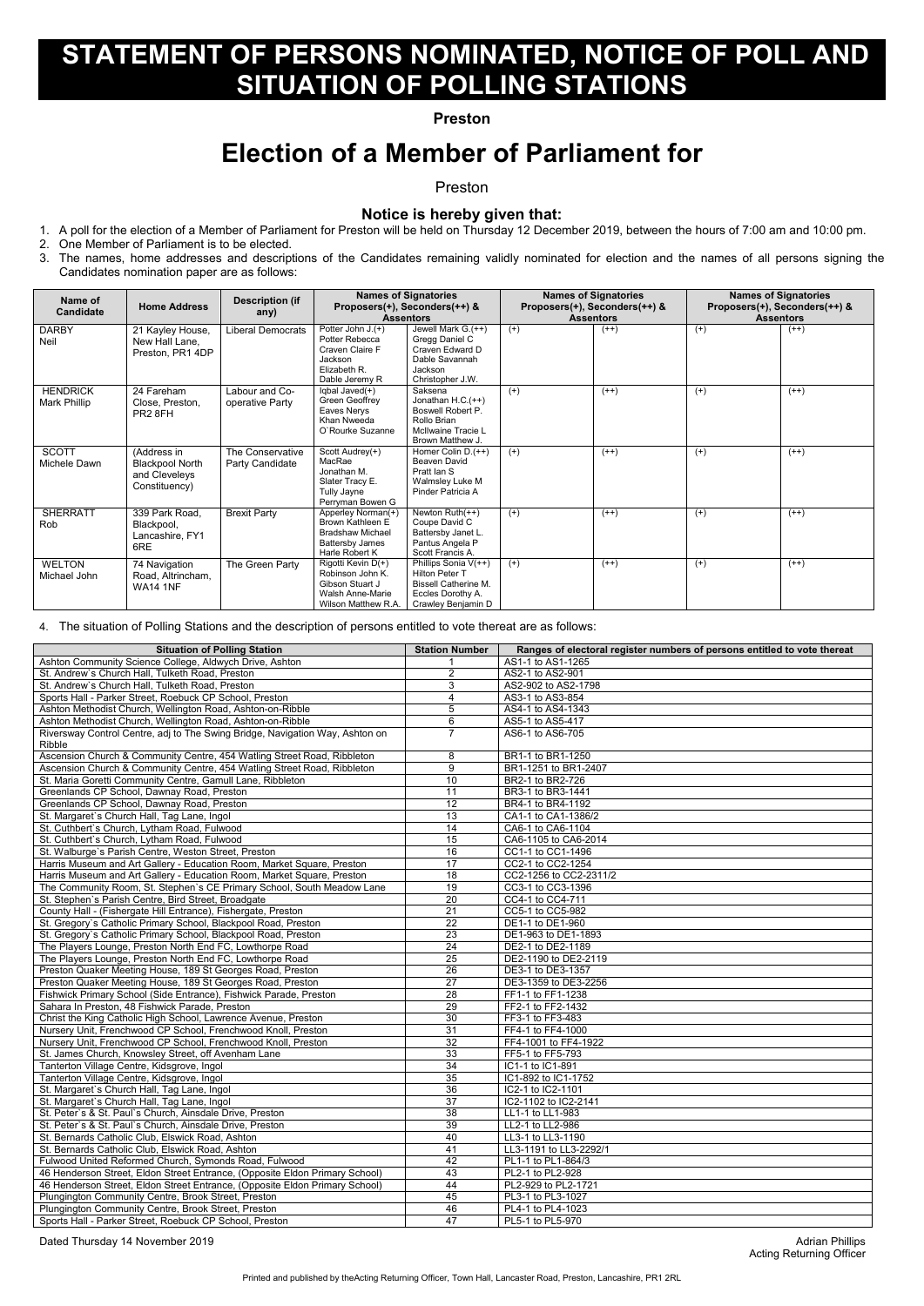Acting Returning Officer

# **STATEMENT OF PERSONS NOMINATED, NOTICE OF POLL AND SITUATION OF POLLING STATIONS**

### **Preston**

## **Election of a Member of Parliament for**

#### Preston

### **Notice is hereby given that:**

1. A poll for the election of a Member of Parliament for Preston will be held on Thursday 12 December 2019, between the hours of 7:00 am and 10:00 pm.

2. One Member of Parliament is to be elected.

3. The names, home addresses and descriptions of the Candidates remaining validly nominated for election and the names of all persons signing the Candidates nomination paper are as follows:

| Name of<br><b>Candidate</b>     | <b>Home Address</b>                                                     | <b>Description (if</b><br>any)      | <b>Names of Signatories</b><br>Proposers(+), Seconders(++) &<br><b>Assentors</b>                              |                                                                                                                           | <b>Names of Signatories</b><br>Proposers(+), Seconders(++) &<br><b>Assentors</b> |        | <b>Names of Signatories</b><br>Proposers(+), Seconders(++) &<br><b>Assentors</b> |        |
|---------------------------------|-------------------------------------------------------------------------|-------------------------------------|---------------------------------------------------------------------------------------------------------------|---------------------------------------------------------------------------------------------------------------------------|----------------------------------------------------------------------------------|--------|----------------------------------------------------------------------------------|--------|
| <b>DARBY</b><br>Neil            | 21 Kayley House,<br>New Hall Lane,<br>Preston, PR1 4DP                  | Liberal Democrats                   | Potter John J.(+)<br>Potter Rebecca<br>Craven Claire F<br>Jackson<br>Elizabeth R.<br>Dable Jeremy R           | Jewell Mark G.(++)<br>Gregg Daniel C<br>Craven Edward D<br>Dable Savannah<br>Jackson<br>Christopher J.W.                  | $(+)$                                                                            | $(++)$ | $^{(+)}$                                                                         | $(++)$ |
| <b>HENDRICK</b><br>Mark Phillip | 24 Fareham<br>Close, Preston,<br>PR <sub>2</sub> 8FH                    | Labour and Co-<br>operative Party   | $lqbal$ Javed $(+)$<br>Green Geoffrey<br>Eaves Nerys<br>Khan Nweeda<br>O'Rourke Suzanne                       | Saksena<br>Jonathan $H.C.(++)$<br>Boswell Robert P.<br>Rollo Brian<br>McIlwaine Tracie L<br>Brown Matthew J.              | $^{(+)}$                                                                         | $(++)$ | $^{(+)}$                                                                         | $(++)$ |
| <b>SCOTT</b><br>Michele Dawn    | (Address in<br><b>Blackpool North</b><br>and Cleveleys<br>Constituency) | The Conservative<br>Party Candidate | Scott Audrey(+)<br>MacRae<br>Jonathan M.<br>Slater Tracy E.<br>Tully Jayne<br>Perryman Bowen G                | Homer Colin D.(++)<br>Beaven David<br>Pratt Ian S<br>Walmsley Luke M<br>Pinder Patricia A                                 | $(+)$                                                                            | $(++)$ | $^{(+)}$                                                                         | $(++)$ |
| <b>SHERRATT</b><br>Rob          | 339 Park Road,<br>Blackpool,<br>Lancashire, FY1<br>6RE                  | <b>Brexit Party</b>                 | Apperley Norman(+)<br>Brown Kathleen E<br><b>Bradshaw Michael</b><br><b>Battersby James</b><br>Harle Robert K | Newton $Ruth(++)$<br>Coupe David C<br>Battersby Janet L.<br>Pantus Angela P<br>Scott Francis A.                           | $(+)$                                                                            | $(++)$ | $^{(+)}$                                                                         | $(++)$ |
| <b>WELTON</b><br>Michael John   | 74 Navigation<br>Road, Altrincham,<br><b>WA14 1NF</b>                   | The Green Party                     | Rigotti Kevin D(+)<br>Robinson John K.<br>Gibson Stuart J<br>Walsh Anne-Marie<br>Wilson Matthew R.A.          | Phillips Sonia $V(++)$<br><b>Hilton Peter T</b><br><b>Bissell Catherine M.</b><br>Eccles Dorothy A.<br>Crawley Benjamin D | $(+)$                                                                            | $(++)$ | $^{(+)}$                                                                         | $(++)$ |

4. The situation of Polling Stations and the description of persons entitled to vote thereat are as follows:

| <b>Situation of Polling Station</b>                                          | <b>Station Number</b> | Ranges of electoral register numbers of persons entitled to vote thereat |
|------------------------------------------------------------------------------|-----------------------|--------------------------------------------------------------------------|
| Ashton Community Science College, Aldwych Drive, Ashton                      |                       | AS1-1 to AS1-1265                                                        |
| St. Andrew's Church Hall, Tulketh Road, Preston                              | $\overline{2}$        | AS2-1 to AS2-901                                                         |
| St. Andrew's Church Hall, Tulketh Road, Preston                              | 3                     | AS2-902 to AS2-1798                                                      |
| Sports Hall - Parker Street, Roebuck CP School, Preston                      | 4                     | AS3-1 to AS3-854                                                         |
| Ashton Methodist Church, Wellington Road, Ashton-on-Ribble                   | 5                     | AS4-1 to AS4-1343                                                        |
| Ashton Methodist Church, Wellington Road, Ashton-on-Ribble                   | 6                     | AS5-1 to AS5-417                                                         |
| Riversway Control Centre, adj to The Swing Bridge, Navigation Way, Ashton on | $\overline{7}$        | AS6-1 to AS6-705                                                         |
| Ribble                                                                       |                       |                                                                          |
| Ascension Church & Community Centre, 454 Watling Street Road, Ribbleton      | 8                     | BR1-1 to BR1-1250                                                        |
| Ascension Church & Community Centre, 454 Watling Street Road, Ribbleton      | $\overline{9}$        | BR1-1251 to BR1-2407                                                     |
| St. Maria Goretti Community Centre, Gamull Lane, Ribbleton                   | 10                    | BR2-1 to BR2-726                                                         |
| Greenlands CP School, Dawnay Road, Preston                                   | 11                    | BR3-1 to BR3-1441                                                        |
| Greenlands CP School, Dawnay Road, Preston                                   | 12                    | BR4-1 to BR4-1192                                                        |
| St. Margaret's Church Hall, Tag Lane, Ingol                                  | 13                    | CA1-1 to CA1-1386/2                                                      |
| St. Cuthbert's Church, Lytham Road, Fulwood                                  | 14                    | CA6-1 to CA6-1104                                                        |
| St. Cuthbert's Church, Lytham Road, Fulwood                                  | $\overline{15}$       | CA6-1105 to CA6-2014                                                     |
| St. Walburge's Parish Centre, Weston Street, Preston                         | $\overline{16}$       | CC1-1 to CC1-1496                                                        |
| Harris Museum and Art Gallery - Education Room, Market Square, Preston       | $\overline{17}$       | CC2-1 to CC2-1254                                                        |
| Harris Museum and Art Gallery - Education Room, Market Square, Preston       | 18                    | CC2-1256 to CC2-2311/2                                                   |
| The Community Room, St. Stephen's CE Primary School, South Meadow Lane       | $\overline{19}$       | CC3-1 to CC3-1396                                                        |
| St. Stephen's Parish Centre, Bird Street, Broadgate                          | $\overline{20}$       | CC4-1 to CC4-711                                                         |
| County Hall - (Fishergate Hill Entrance), Fishergate, Preston                | 21                    | CC5-1 to CC5-982                                                         |
| St. Gregory's Catholic Primary School, Blackpool Road, Preston               | $\overline{22}$       | DE1-1 to DE1-960                                                         |
| St. Gregory's Catholic Primary School, Blackpool Road, Preston               | 23                    | DE1-963 to DE1-1893                                                      |
| The Players Lounge, Preston North End FC, Lowthorpe Road                     | 24                    | DE2-1 to DE2-1189                                                        |
| The Players Lounge, Preston North End FC, Lowthorpe Road                     | $\overline{25}$       | DE2-1190 to DE2-2119                                                     |
| Preston Quaker Meeting House, 189 St Georges Road, Preston                   | $\overline{26}$       | DE3-1 to DE3-1357                                                        |
| Preston Quaker Meeting House, 189 St Georges Road, Preston                   | $\overline{27}$       | DE3-1359 to DE3-2256                                                     |
| Fishwick Primary School (Side Entrance), Fishwick Parade, Preston            | 28                    | FF1-1 to FF1-1238                                                        |
| Sahara In Preston, 48 Fishwick Parade, Preston                               | 29                    | FF2-1 to FF2-1432                                                        |
| Christ the King Catholic High School, Lawrence Avenue, Preston               | $\overline{30}$       | FF3-1 to FF3-483                                                         |
| Nursery Unit, Frenchwood CP School, Frenchwood Knoll, Preston                | 31                    | FF4-1 to FF4-1000                                                        |
| Nursery Unit, Frenchwood CP School, Frenchwood Knoll, Preston                | $\overline{32}$       | FF4-1001 to FF4-1922                                                     |
| St. James Church, Knowsley Street, off Avenham Lane                          | 33                    | FF5-1 to FF5-793                                                         |
| Tanterton Village Centre, Kidsgrove, Ingol                                   | 34                    | IC1-1 to IC1-891                                                         |
| Tanterton Village Centre, Kidsgrove, Ingol                                   | $\overline{35}$       | IC1-892 to IC1-1752                                                      |
| St. Margaret's Church Hall, Tag Lane, Ingol                                  | $\overline{36}$       | IC2-1 to IC2-1101                                                        |
| St. Margaret's Church Hall, Tag Lane, Ingol                                  | $\overline{37}$       | IC2-1102 to IC2-2141                                                     |
| St. Peter's & St. Paul's Church, Ainsdale Drive, Preston                     | 38                    | LL1-1 to LL1-983                                                         |
| St. Peter's & St. Paul's Church, Ainsdale Drive, Preston                     | 39                    | LL2-1 to LL2-986                                                         |
| St. Bernards Catholic Club, Elswick Road, Ashton                             | 40                    | LL3-1 to LL3-1190                                                        |
| St. Bernards Catholic Club, Elswick Road, Ashton                             | 41                    | LL3-1191 to LL3-2292/1                                                   |
| Fulwood United Reformed Church, Symonds Road, Fulwood                        | 42                    | PL1-1 to PL1-864/3                                                       |
| 46 Henderson Street, Eldon Street Entrance, (Opposite Eldon Primary School)  | 43                    | PL2-1 to PL2-928                                                         |
| 46 Henderson Street, Eldon Street Entrance, (Opposite Eldon Primary School)  | 44                    | PL2-929 to PL2-1721                                                      |
| Plungington Community Centre, Brook Street, Preston                          | 45                    | PL3-1 to PL3-1027                                                        |
| Plungington Community Centre, Brook Street, Preston                          | 46                    | PL4-1 to PL4-1023                                                        |
| Sports Hall - Parker Street, Roebuck CP School, Preston                      | 47                    | PL5-1 to PL5-970                                                         |

Dated Thursday 14 November 2019 **Adrian Phillips Contract the Contract of Adrian Phillips Adrian Phillips**